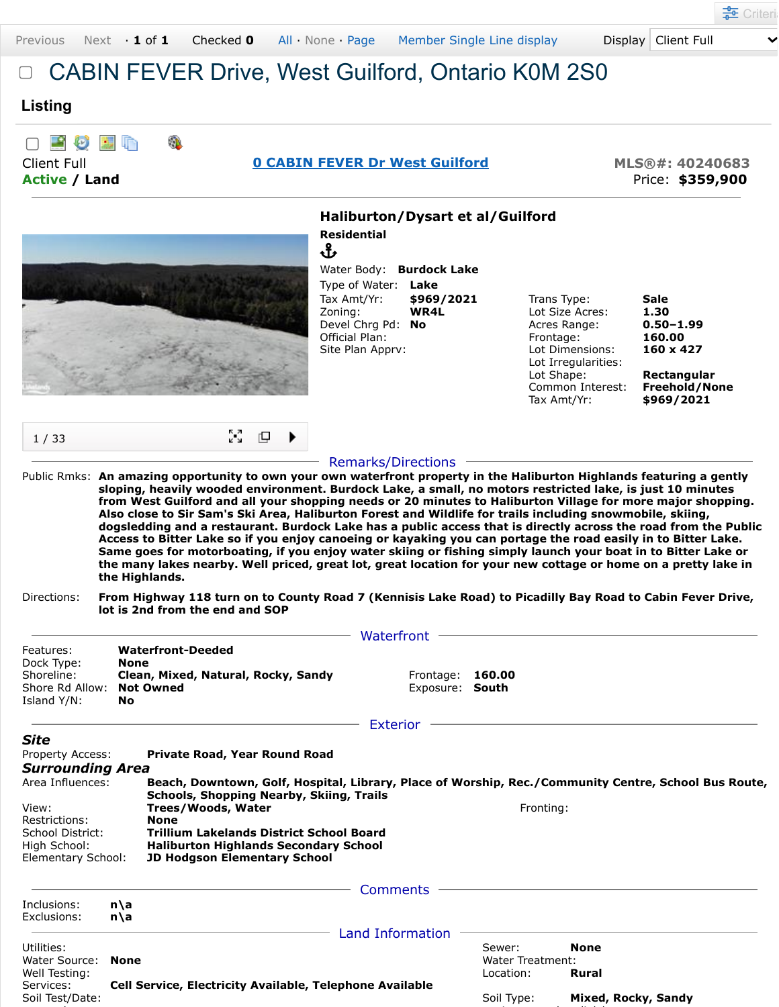## CABIN FEVER Drive, West Guilford, Ontario K0M 2S0

## **Listing**

|                      |  |  | □ 顧 ⑦ 關 喻 |  |  |  |  |  |
|----------------------|--|--|-----------|--|--|--|--|--|
| Client Full          |  |  |           |  |  |  |  |  |
| <b>Active / Land</b> |  |  |           |  |  |  |  |  |

## **[0 CABIN FEVER Dr West Guilford](javascript:Dpy.mapPopup() MLS®#: 40240683**

**Active / Land** Price: **\$359,900**



Ֆ



| Water Body: Burdock Lake   |            |
|----------------------------|------------|
| Type of Water: <b>Lake</b> |            |
| Tax Amt/Yr:                | \$969/2021 |
| Zoning:                    | WR4L       |
| Devel Chrg Pd:             | No         |
| Official Plan:             |            |
| Site Plan Apprv:           |            |
|                            |            |

| Trans Type:         | Sale                 |
|---------------------|----------------------|
| Lot Size Acres:     | 1.30                 |
| Acres Range:        | $0.50 - 1.99$        |
| Frontage:           | 160.00               |
| Lot Dimensions:     | 160 x 427            |
| Lot Irregularities: |                      |
| Lot Shape:          | Rectangular          |
| Common Interest:    | <b>Freehold/None</b> |
| Tax Amt/Yr:         | \$969/2021           |

| 1/33 | $\sum_{i=1}^{n}$ $\Box$ |
|------|-------------------------|
|------|-------------------------|

## Remarks/Directions

Public Rmks: **An amazing opportunity to own your own waterfront property in the Haliburton Highlands featuring a gently sloping, heavily wooded environment. Burdock Lake, a small, no motors restricted lake, is just 10 minutes from West Guilford and all your shopping needs or 20 minutes to Haliburton Village for more major shopping. Also close to Sir Sam's Ski Area, Haliburton Forest and Wildlife for trails including snowmobile, skiing, dogsledding and a restaurant. Burdock Lake has a public access that is directly across the road from the Public Access to Bitter Lake so if you enjoy canoeing or kayaking you can portage the road easily in to Bitter Lake. Same goes for motorboating, if you enjoy water skiing or fishing simply launch your boat in to Bitter Lake or the many lakes nearby. Well priced, great lot, great location for your new cottage or home on a pretty lake in the Highlands.**

|                                                                                                                                                                                                                                                                                                                                                                                                                                                                                                                                        |             |                                                                                     | Waterfront                   |                                         |                      |
|----------------------------------------------------------------------------------------------------------------------------------------------------------------------------------------------------------------------------------------------------------------------------------------------------------------------------------------------------------------------------------------------------------------------------------------------------------------------------------------------------------------------------------------|-------------|-------------------------------------------------------------------------------------|------------------------------|-----------------------------------------|----------------------|
| Features:<br>Dock Type:<br><b>None</b><br>Shoreline:<br>Shore Rd Allow:<br>Island Y/N:<br>No                                                                                                                                                                                                                                                                                                                                                                                                                                           |             | <b>Waterfront-Deeded</b><br>Clean, Mixed, Natural, Rocky, Sandy<br><b>Not Owned</b> | Frontage:<br>Exposure: South | 160.00                                  |                      |
|                                                                                                                                                                                                                                                                                                                                                                                                                                                                                                                                        |             |                                                                                     | <b>Exterior</b>              |                                         |                      |
| <b>Site</b><br>Property Access:<br>Private Road, Year Round Road<br><b>Surrounding Area</b><br>Area Influences:<br>Beach, Downtown, Golf, Hospital, Library, Place of Worship, Rec./Community Centre, School Bus Route,<br>Schools, Shopping Nearby, Skiing, Trails<br>Trees/Woods, Water<br>View:<br>Restrictions:<br><b>None</b><br><b>Trillium Lakelands District School Board</b><br>School District:<br>High School:<br><b>Haliburton Highlands Secondary School</b><br>Elementary School:<br><b>JD Hodgson Elementary School</b> |             |                                                                                     | Fronting:                    |                                         |                      |
|                                                                                                                                                                                                                                                                                                                                                                                                                                                                                                                                        |             |                                                                                     | Comments                     |                                         |                      |
| Inclusions:<br>Exclusions:                                                                                                                                                                                                                                                                                                                                                                                                                                                                                                             | n\a<br>n\a  |                                                                                     |                              |                                         |                      |
| Utilities:<br>Water Source:<br>Well Testing:<br>Services:                                                                                                                                                                                                                                                                                                                                                                                                                                                                              | <b>None</b> | <b>Cell Service, Electricity Available, Telephone Available</b>                     | Land Information             | Sewer:<br>Water Treatment:<br>Location: | <b>None</b><br>Rural |
| Soil Test/Date:                                                                                                                                                                                                                                                                                                                                                                                                                                                                                                                        |             |                                                                                     |                              | Soil Type:                              | Mixed, Rocky, Sandy  |

l i l'antico del control del control de la control de la control de la control de la control de la control de

Directions: **From Highway 118 turn on to County Road 7 (Kennisis Lake Road) to Picadilly Bay Road to Cabin Fever Drive, lot is 2nd from the end and SOP**